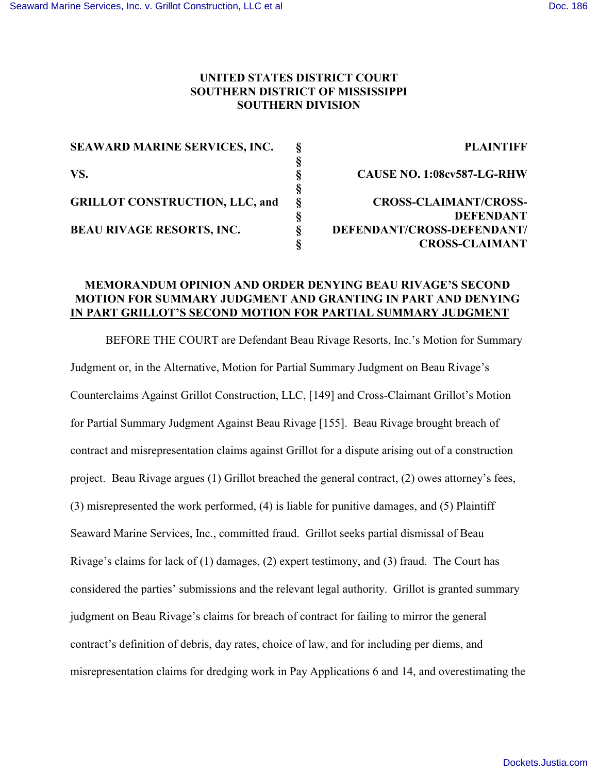# **UNITED STATES DISTRICT COURT SOUTHERN DISTRICT OF MISSISSIPPI SOUTHERN DIVISION**

| <b>PLAINTIFF</b>                  |
|-----------------------------------|
|                                   |
| <b>CAUSE NO. 1:08cv587-LG-RHW</b> |
|                                   |
| <b>CROSS-CLAIMANT/CROSS-</b>      |
| <b>DEFENDANT</b>                  |
| DEFENDANT/CROSS-DEFENDANT/        |
| <b>CROSS-CLAIMANT</b>             |
|                                   |

# **MEMORANDUM OPINION AND ORDER DENYING BEAU RIVAGE'S SECOND MOTION FOR SUMMARY JUDGMENT AND GRANTING IN PART AND DENYING IN PART GRILLOT'S SECOND MOTION FOR PARTIAL SUMMARY JUDGMENT**

BEFORE THE COURT are Defendant Beau Rivage Resorts, Inc.'s Motion for Summary Judgment or, in the Alternative, Motion for Partial Summary Judgment on Beau Rivage's Counterclaims Against Grillot Construction, LLC, [149] and Cross-Claimant Grillot's Motion for Partial Summary Judgment Against Beau Rivage [155]. Beau Rivage brought breach of contract and misrepresentation claims against Grillot for a dispute arising out of a construction project. Beau Rivage argues (1) Grillot breached the general contract, (2) owes attorney's fees, (3) misrepresented the work performed, (4) is liable for punitive damages, and (5) Plaintiff Seaward Marine Services, Inc., committed fraud. Grillot seeks partial dismissal of Beau Rivage's claims for lack of (1) damages, (2) expert testimony, and (3) fraud. The Court has considered the parties' submissions and the relevant legal authority. Grillot is granted summary judgment on Beau Rivage's claims for breach of contract for failing to mirror the general contract's definition of debris, day rates, choice of law, and for including per diems, and misrepresentation claims for dredging work in Pay Applications 6 and 14, and overestimating the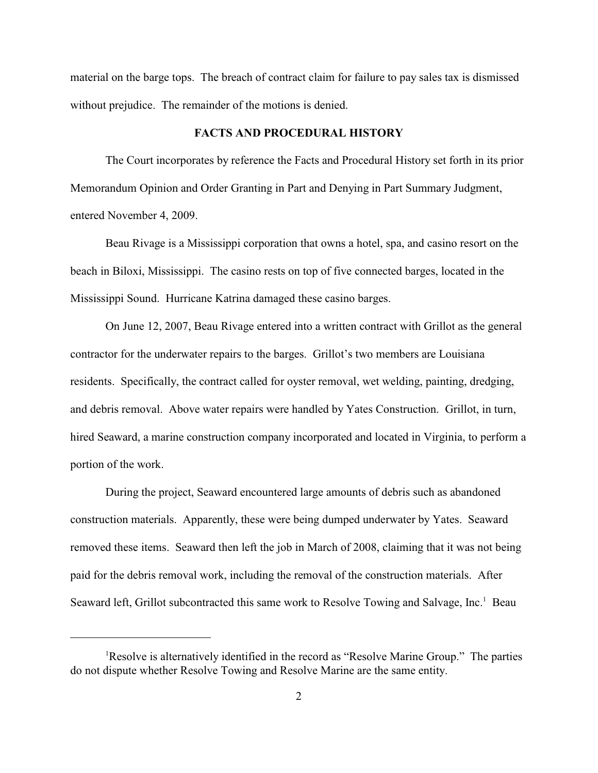material on the barge tops. The breach of contract claim for failure to pay sales tax is dismissed without prejudice. The remainder of the motions is denied.

### **FACTS AND PROCEDURAL HISTORY**

The Court incorporates by reference the Facts and Procedural History set forth in its prior Memorandum Opinion and Order Granting in Part and Denying in Part Summary Judgment, entered November 4, 2009.

Beau Rivage is a Mississippi corporation that owns a hotel, spa, and casino resort on the beach in Biloxi, Mississippi. The casino rests on top of five connected barges, located in the Mississippi Sound. Hurricane Katrina damaged these casino barges.

On June 12, 2007, Beau Rivage entered into a written contract with Grillot as the general contractor for the underwater repairs to the barges. Grillot's two members are Louisiana residents. Specifically, the contract called for oyster removal, wet welding, painting, dredging, and debris removal. Above water repairs were handled by Yates Construction. Grillot, in turn, hired Seaward, a marine construction company incorporated and located in Virginia, to perform a portion of the work.

During the project, Seaward encountered large amounts of debris such as abandoned construction materials. Apparently, these were being dumped underwater by Yates. Seaward removed these items. Seaward then left the job in March of 2008, claiming that it was not being paid for the debris removal work, including the removal of the construction materials. After Seaward left, Grillot subcontracted this same work to Resolve Towing and Salvage, Inc.<sup>1</sup> Beau

<sup>&</sup>lt;sup>1</sup>Resolve is alternatively identified in the record as "Resolve Marine Group." The parties do not dispute whether Resolve Towing and Resolve Marine are the same entity.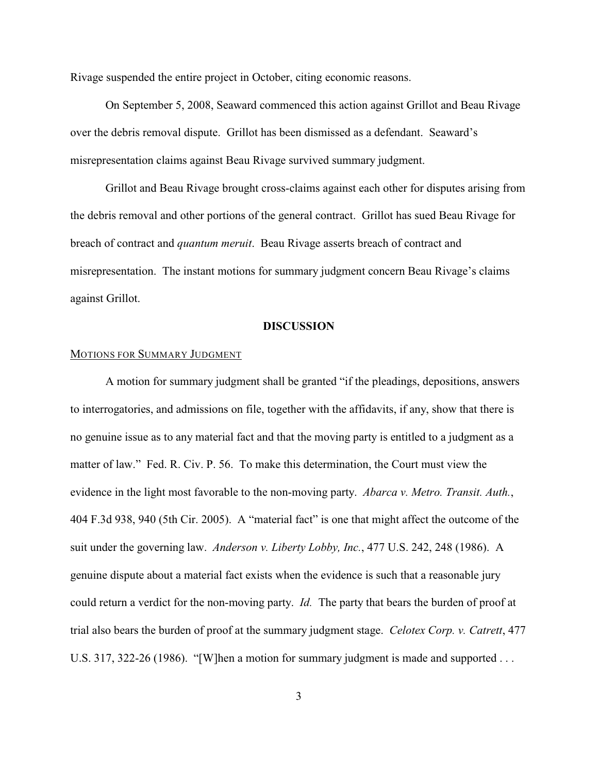Rivage suspended the entire project in October, citing economic reasons.

On September 5, 2008, Seaward commenced this action against Grillot and Beau Rivage over the debris removal dispute. Grillot has been dismissed as a defendant. Seaward's misrepresentation claims against Beau Rivage survived summary judgment.

Grillot and Beau Rivage brought cross-claims against each other for disputes arising from the debris removal and other portions of the general contract. Grillot has sued Beau Rivage for breach of contract and *quantum meruit*. Beau Rivage asserts breach of contract and misrepresentation. The instant motions for summary judgment concern Beau Rivage's claims against Grillot.

## **DISCUSSION**

# MOTIONS FOR SUMMARY JUDGMENT

A motion for summary judgment shall be granted "if the pleadings, depositions, answers to interrogatories, and admissions on file, together with the affidavits, if any, show that there is no genuine issue as to any material fact and that the moving party is entitled to a judgment as a matter of law." Fed. R. Civ. P. 56. To make this determination, the Court must view the evidence in the light most favorable to the non-moving party. *Abarca v. Metro. Transit. Auth.*, 404 F.3d 938, 940 (5th Cir. 2005). A "material fact" is one that might affect the outcome of the suit under the governing law. *Anderson v. Liberty Lobby, Inc.*, 477 U.S. 242, 248 (1986). A genuine dispute about a material fact exists when the evidence is such that a reasonable jury could return a verdict for the non-moving party. *Id.* The party that bears the burden of proof at trial also bears the burden of proof at the summary judgment stage. *Celotex Corp. v. Catrett*, 477 U.S. 317, 322-26 (1986). "[W]hen a motion for summary judgment is made and supported ...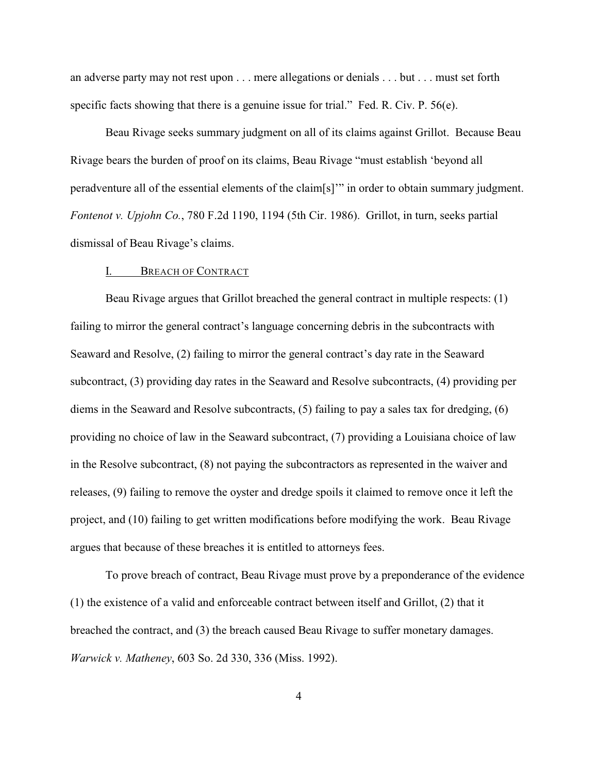an adverse party may not rest upon . . . mere allegations or denials . . . but . . . must set forth specific facts showing that there is a genuine issue for trial." Fed. R. Civ. P.  $56(e)$ .

Beau Rivage seeks summary judgment on all of its claims against Grillot. Because Beau Rivage bears the burden of proof on its claims, Beau Rivage "must establish 'beyond all peradventure all of the essential elements of the claim[s]'" in order to obtain summary judgment. *Fontenot v. Upjohn Co.*, 780 F.2d 1190, 1194 (5th Cir. 1986). Grillot, in turn, seeks partial dismissal of Beau Rivage's claims.

### I. BREACH OF CONTRACT

Beau Rivage argues that Grillot breached the general contract in multiple respects: (1) failing to mirror the general contract's language concerning debris in the subcontracts with Seaward and Resolve, (2) failing to mirror the general contract's day rate in the Seaward subcontract, (3) providing day rates in the Seaward and Resolve subcontracts, (4) providing per diems in the Seaward and Resolve subcontracts, (5) failing to pay a sales tax for dredging, (6) providing no choice of law in the Seaward subcontract, (7) providing a Louisiana choice of law in the Resolve subcontract, (8) not paying the subcontractors as represented in the waiver and releases, (9) failing to remove the oyster and dredge spoils it claimed to remove once it left the project, and (10) failing to get written modifications before modifying the work. Beau Rivage argues that because of these breaches it is entitled to attorneys fees.

To prove breach of contract, Beau Rivage must prove by a preponderance of the evidence (1) the existence of a valid and enforceable contract between itself and Grillot, (2) that it breached the contract, and (3) the breach caused Beau Rivage to suffer monetary damages. *Warwick v. Matheney*, 603 So. 2d 330, 336 (Miss. 1992).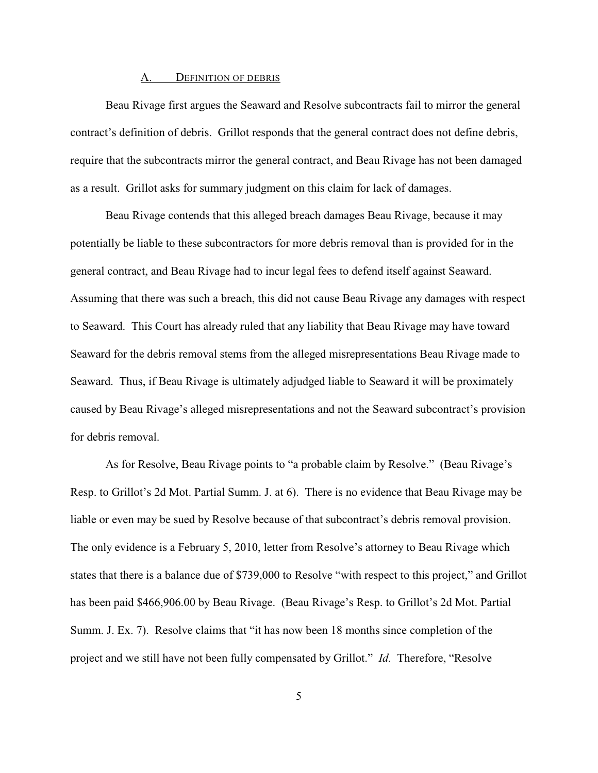#### A. DEFINITION OF DEBRIS

Beau Rivage first argues the Seaward and Resolve subcontracts fail to mirror the general contract's definition of debris. Grillot responds that the general contract does not define debris, require that the subcontracts mirror the general contract, and Beau Rivage has not been damaged as a result. Grillot asks for summary judgment on this claim for lack of damages.

 Beau Rivage contends that this alleged breach damages Beau Rivage, because it may potentially be liable to these subcontractors for more debris removal than is provided for in the general contract, and Beau Rivage had to incur legal fees to defend itself against Seaward. Assuming that there was such a breach, this did not cause Beau Rivage any damages with respect to Seaward. This Court has already ruled that any liability that Beau Rivage may have toward Seaward for the debris removal stems from the alleged misrepresentations Beau Rivage made to Seaward. Thus, if Beau Rivage is ultimately adjudged liable to Seaward it will be proximately caused by Beau Rivage's alleged misrepresentations and not the Seaward subcontract's provision for debris removal.

As for Resolve, Beau Rivage points to "a probable claim by Resolve." (Beau Rivage's Resp. to Grillot's 2d Mot. Partial Summ. J. at 6). There is no evidence that Beau Rivage may be liable or even may be sued by Resolve because of that subcontract's debris removal provision. The only evidence is a February 5, 2010, letter from Resolve's attorney to Beau Rivage which states that there is a balance due of \$739,000 to Resolve "with respect to this project," and Grillot has been paid \$466,906.00 by Beau Rivage. (Beau Rivage's Resp. to Grillot's 2d Mot. Partial Summ. J. Ex. 7). Resolve claims that "it has now been 18 months since completion of the project and we still have not been fully compensated by Grillot." *Id.* Therefore, "Resolve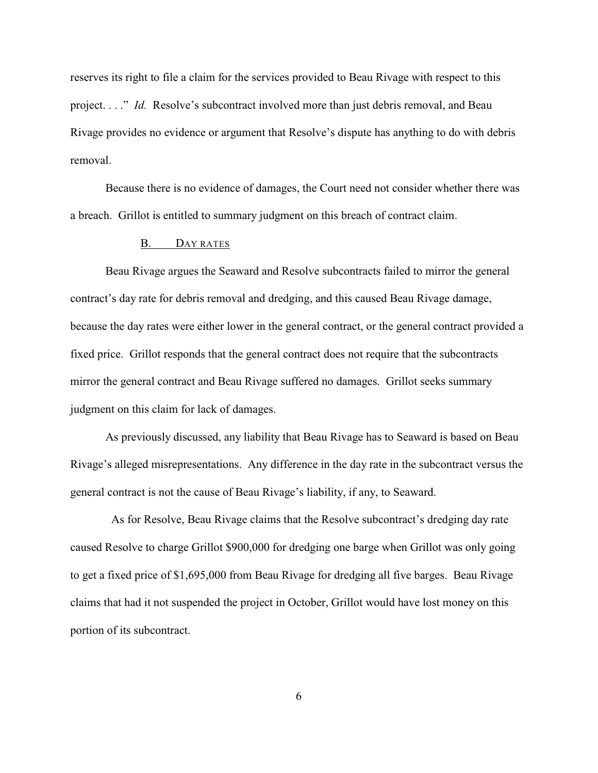reserves its right to file a claim for the services provided to Beau Rivage with respect to this project. . . ." *Id.* Resolve's subcontract involved more than just debris removal, and Beau Rivage provides no evidence or argument that Resolve's dispute has anything to do with debris removal.

Because there is no evidence of damages, the Court need not consider whether there was a breach. Grillot is entitled to summary judgment on this breach of contract claim.

## B. DAY RATES

Beau Rivage argues the Seaward and Resolve subcontracts failed to mirror the general contract's day rate for debris removal and dredging, and this caused Beau Rivage damage, because the day rates were either lower in the general contract, or the general contract provided a fixed price. Grillot responds that the general contract does not require that the subcontracts mirror the general contract and Beau Rivage suffered no damages. Grillot seeks summary judgment on this claim for lack of damages.

As previously discussed, any liability that Beau Rivage has to Seaward is based on Beau Rivage's alleged misrepresentations. Any difference in the day rate in the subcontract versus the general contract is not the cause of Beau Rivage's liability, if any, to Seaward.

 As for Resolve, Beau Rivage claims that the Resolve subcontract's dredging day rate caused Resolve to charge Grillot \$900,000 for dredging one barge when Grillot was only going to get a fixed price of \$1,695,000 from Beau Rivage for dredging all five barges. Beau Rivage claims that had it not suspended the project in October, Grillot would have lost money on this portion of its subcontract.

6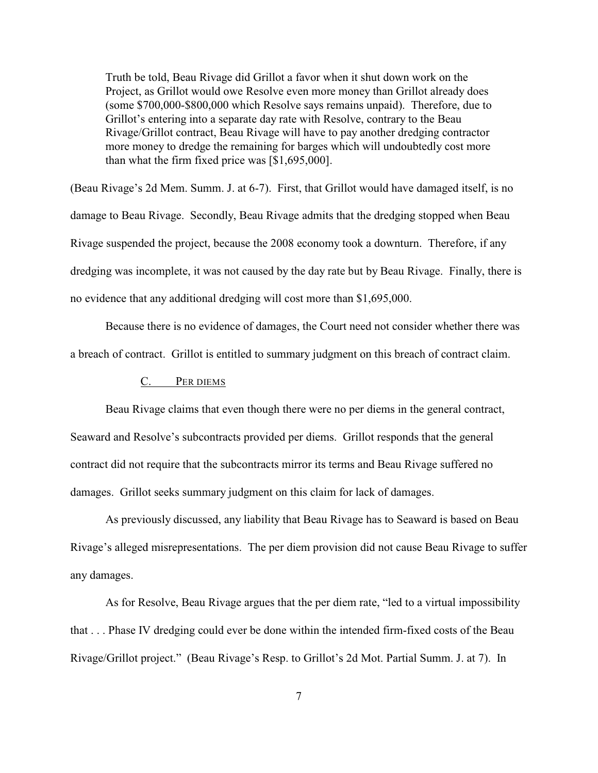Truth be told, Beau Rivage did Grillot a favor when it shut down work on the Project, as Grillot would owe Resolve even more money than Grillot already does (some \$700,000-\$800,000 which Resolve says remains unpaid). Therefore, due to Grillot's entering into a separate day rate with Resolve, contrary to the Beau Rivage/Grillot contract, Beau Rivage will have to pay another dredging contractor more money to dredge the remaining for barges which will undoubtedly cost more than what the firm fixed price was [\$1,695,000].

(Beau Rivage's 2d Mem. Summ. J. at 6-7). First, that Grillot would have damaged itself, is no damage to Beau Rivage. Secondly, Beau Rivage admits that the dredging stopped when Beau Rivage suspended the project, because the 2008 economy took a downturn. Therefore, if any dredging was incomplete, it was not caused by the day rate but by Beau Rivage. Finally, there is no evidence that any additional dredging will cost more than \$1,695,000.

Because there is no evidence of damages, the Court need not consider whether there was a breach of contract. Grillot is entitled to summary judgment on this breach of contract claim.

## C. PER DIEMS

Beau Rivage claims that even though there were no per diems in the general contract, Seaward and Resolve's subcontracts provided per diems. Grillot responds that the general contract did not require that the subcontracts mirror its terms and Beau Rivage suffered no damages. Grillot seeks summary judgment on this claim for lack of damages.

As previously discussed, any liability that Beau Rivage has to Seaward is based on Beau Rivage's alleged misrepresentations. The per diem provision did not cause Beau Rivage to suffer any damages.

As for Resolve, Beau Rivage argues that the per diem rate, "led to a virtual impossibility that . . . Phase IV dredging could ever be done within the intended firm-fixed costs of the Beau Rivage/Grillot project." (Beau Rivage's Resp. to Grillot's 2d Mot. Partial Summ. J. at 7). In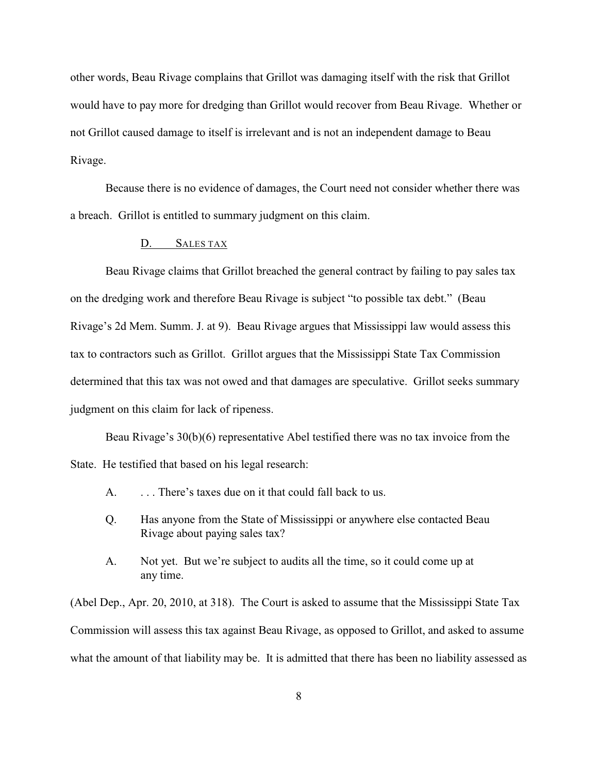other words, Beau Rivage complains that Grillot was damaging itself with the risk that Grillot would have to pay more for dredging than Grillot would recover from Beau Rivage. Whether or not Grillot caused damage to itself is irrelevant and is not an independent damage to Beau Rivage.

Because there is no evidence of damages, the Court need not consider whether there was a breach. Grillot is entitled to summary judgment on this claim.

# D. SALES TAX

Beau Rivage claims that Grillot breached the general contract by failing to pay sales tax on the dredging work and therefore Beau Rivage is subject "to possible tax debt." (Beau Rivage's 2d Mem. Summ. J. at 9). Beau Rivage argues that Mississippi law would assess this tax to contractors such as Grillot. Grillot argues that the Mississippi State Tax Commission determined that this tax was not owed and that damages are speculative. Grillot seeks summary judgment on this claim for lack of ripeness.

Beau Rivage's 30(b)(6) representative Abel testified there was no tax invoice from the State. He testified that based on his legal research:

- A. . . . . . There's taxes due on it that could fall back to us.
- Q. Has anyone from the State of Mississippi or anywhere else contacted Beau Rivage about paying sales tax?
- A. Not yet. But we're subject to audits all the time, so it could come up at any time.

(Abel Dep., Apr. 20, 2010, at 318). The Court is asked to assume that the Mississippi State Tax Commission will assess this tax against Beau Rivage, as opposed to Grillot, and asked to assume what the amount of that liability may be. It is admitted that there has been no liability assessed as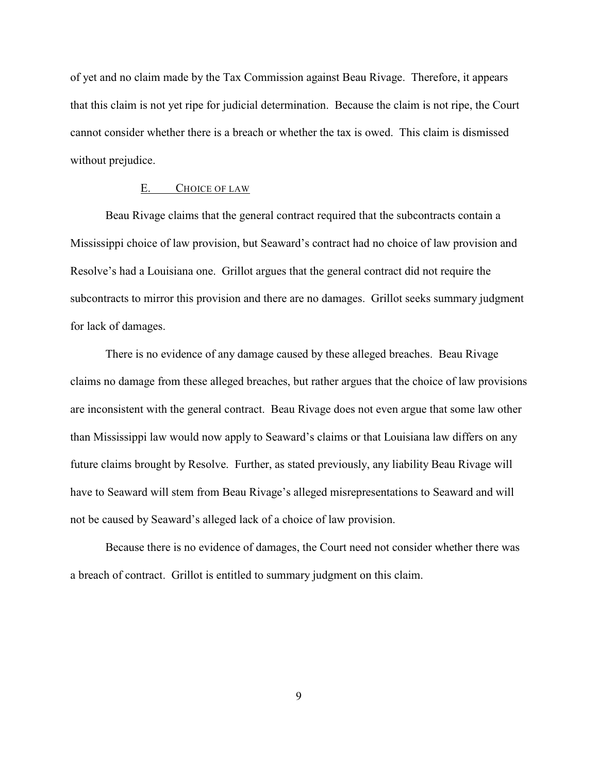of yet and no claim made by the Tax Commission against Beau Rivage. Therefore, it appears that this claim is not yet ripe for judicial determination. Because the claim is not ripe, the Court cannot consider whether there is a breach or whether the tax is owed. This claim is dismissed without prejudice.

### E. CHOICE OF LAW

Beau Rivage claims that the general contract required that the subcontracts contain a Mississippi choice of law provision, but Seaward's contract had no choice of law provision and Resolve's had a Louisiana one. Grillot argues that the general contract did not require the subcontracts to mirror this provision and there are no damages. Grillot seeks summary judgment for lack of damages.

There is no evidence of any damage caused by these alleged breaches. Beau Rivage claims no damage from these alleged breaches, but rather argues that the choice of law provisions are inconsistent with the general contract. Beau Rivage does not even argue that some law other than Mississippi law would now apply to Seaward's claims or that Louisiana law differs on any future claims brought by Resolve. Further, as stated previously, any liability Beau Rivage will have to Seaward will stem from Beau Rivage's alleged misrepresentations to Seaward and will not be caused by Seaward's alleged lack of a choice of law provision.

Because there is no evidence of damages, the Court need not consider whether there was a breach of contract. Grillot is entitled to summary judgment on this claim.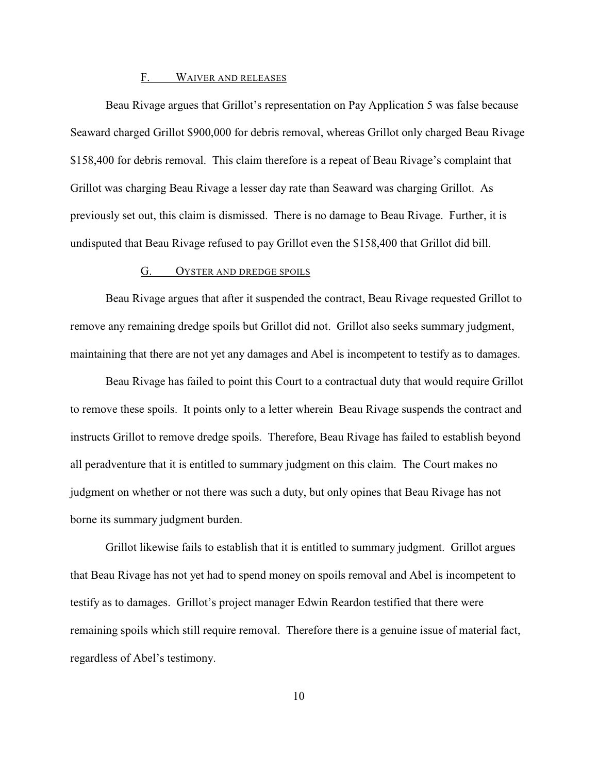#### F. WAIVER AND RELEASES

Beau Rivage argues that Grillot's representation on Pay Application 5 was false because Seaward charged Grillot \$900,000 for debris removal, whereas Grillot only charged Beau Rivage \$158,400 for debris removal. This claim therefore is a repeat of Beau Rivage's complaint that Grillot was charging Beau Rivage a lesser day rate than Seaward was charging Grillot. As previously set out, this claim is dismissed. There is no damage to Beau Rivage. Further, it is undisputed that Beau Rivage refused to pay Grillot even the \$158,400 that Grillot did bill.

### G. OYSTER AND DREDGE SPOILS

Beau Rivage argues that after it suspended the contract, Beau Rivage requested Grillot to remove any remaining dredge spoils but Grillot did not. Grillot also seeks summary judgment, maintaining that there are not yet any damages and Abel is incompetent to testify as to damages.

Beau Rivage has failed to point this Court to a contractual duty that would require Grillot to remove these spoils. It points only to a letter wherein Beau Rivage suspends the contract and instructs Grillot to remove dredge spoils. Therefore, Beau Rivage has failed to establish beyond all peradventure that it is entitled to summary judgment on this claim. The Court makes no judgment on whether or not there was such a duty, but only opines that Beau Rivage has not borne its summary judgment burden.

Grillot likewise fails to establish that it is entitled to summary judgment. Grillot argues that Beau Rivage has not yet had to spend money on spoils removal and Abel is incompetent to testify as to damages. Grillot's project manager Edwin Reardon testified that there were remaining spoils which still require removal. Therefore there is a genuine issue of material fact, regardless of Abel's testimony.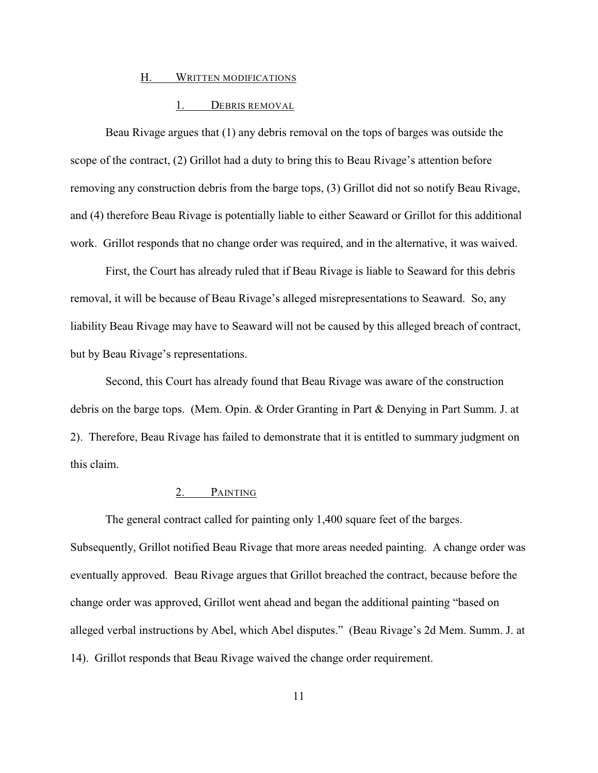### H. WRITTEN MODIFICATIONS

## 1. DEBRIS REMOVAL

Beau Rivage argues that (1) any debris removal on the tops of barges was outside the scope of the contract, (2) Grillot had a duty to bring this to Beau Rivage's attention before removing any construction debris from the barge tops, (3) Grillot did not so notify Beau Rivage, and (4) therefore Beau Rivage is potentially liable to either Seaward or Grillot for this additional work. Grillot responds that no change order was required, and in the alternative, it was waived.

First, the Court has already ruled that if Beau Rivage is liable to Seaward for this debris removal, it will be because of Beau Rivage's alleged misrepresentations to Seaward. So, any liability Beau Rivage may have to Seaward will not be caused by this alleged breach of contract, but by Beau Rivage's representations.

Second, this Court has already found that Beau Rivage was aware of the construction debris on the barge tops. (Mem. Opin. & Order Granting in Part & Denying in Part Summ. J. at 2). Therefore, Beau Rivage has failed to demonstrate that it is entitled to summary judgment on this claim.

## 2. PAINTING

The general contract called for painting only 1,400 square feet of the barges. Subsequently, Grillot notified Beau Rivage that more areas needed painting. A change order was eventually approved. Beau Rivage argues that Grillot breached the contract, because before the change order was approved, Grillot went ahead and began the additional painting "based on alleged verbal instructions by Abel, which Abel disputes." (Beau Rivage's 2d Mem. Summ. J. at 14). Grillot responds that Beau Rivage waived the change order requirement.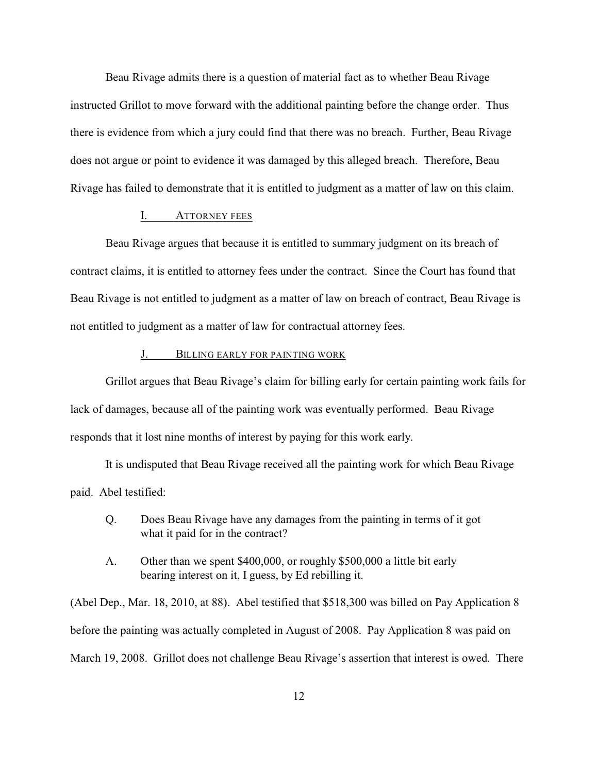Beau Rivage admits there is a question of material fact as to whether Beau Rivage instructed Grillot to move forward with the additional painting before the change order. Thus there is evidence from which a jury could find that there was no breach. Further, Beau Rivage does not argue or point to evidence it was damaged by this alleged breach. Therefore, Beau Rivage has failed to demonstrate that it is entitled to judgment as a matter of law on this claim.

## I. ATTORNEY FEES

Beau Rivage argues that because it is entitled to summary judgment on its breach of contract claims, it is entitled to attorney fees under the contract. Since the Court has found that Beau Rivage is not entitled to judgment as a matter of law on breach of contract, Beau Rivage is not entitled to judgment as a matter of law for contractual attorney fees.

## J. BILLING EARLY FOR PAINTING WORK

Grillot argues that Beau Rivage's claim for billing early for certain painting work fails for lack of damages, because all of the painting work was eventually performed. Beau Rivage responds that it lost nine months of interest by paying for this work early.

It is undisputed that Beau Rivage received all the painting work for which Beau Rivage paid. Abel testified:

- Q. Does Beau Rivage have any damages from the painting in terms of it got what it paid for in the contract?
- A. Other than we spent \$400,000, or roughly \$500,000 a little bit early bearing interest on it, I guess, by Ed rebilling it.

(Abel Dep., Mar. 18, 2010, at 88). Abel testified that \$518,300 was billed on Pay Application 8 before the painting was actually completed in August of 2008. Pay Application 8 was paid on March 19, 2008. Grillot does not challenge Beau Rivage's assertion that interest is owed. There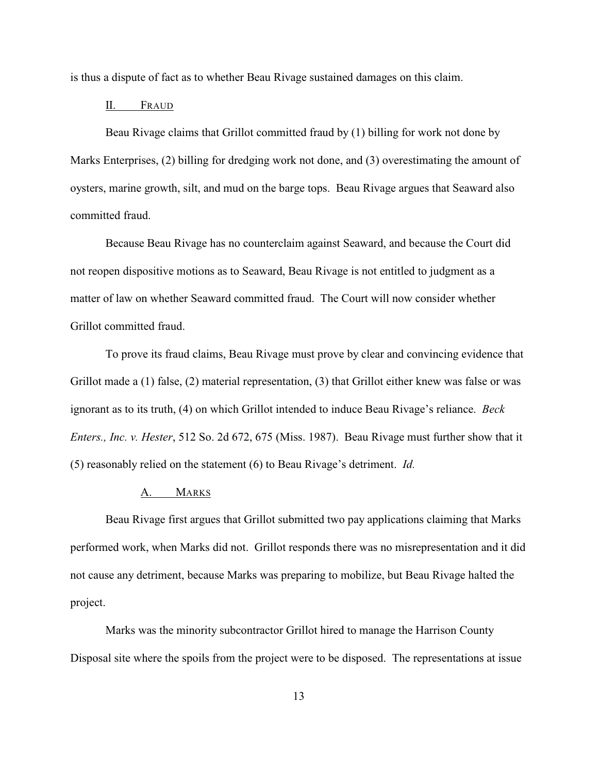is thus a dispute of fact as to whether Beau Rivage sustained damages on this claim.

### II. FRAUD

Beau Rivage claims that Grillot committed fraud by (1) billing for work not done by Marks Enterprises, (2) billing for dredging work not done, and (3) overestimating the amount of oysters, marine growth, silt, and mud on the barge tops. Beau Rivage argues that Seaward also committed fraud.

Because Beau Rivage has no counterclaim against Seaward, and because the Court did not reopen dispositive motions as to Seaward, Beau Rivage is not entitled to judgment as a matter of law on whether Seaward committed fraud. The Court will now consider whether Grillot committed fraud.

To prove its fraud claims, Beau Rivage must prove by clear and convincing evidence that Grillot made a (1) false, (2) material representation, (3) that Grillot either knew was false or was ignorant as to its truth, (4) on which Grillot intended to induce Beau Rivage's reliance. *Beck Enters., Inc. v. Hester*, 512 So. 2d 672, 675 (Miss. 1987). Beau Rivage must further show that it (5) reasonably relied on the statement (6) to Beau Rivage's detriment. *Id.*

## A. MARKS

Beau Rivage first argues that Grillot submitted two pay applications claiming that Marks performed work, when Marks did not. Grillot responds there was no misrepresentation and it did not cause any detriment, because Marks was preparing to mobilize, but Beau Rivage halted the project.

Marks was the minority subcontractor Grillot hired to manage the Harrison County Disposal site where the spoils from the project were to be disposed. The representations at issue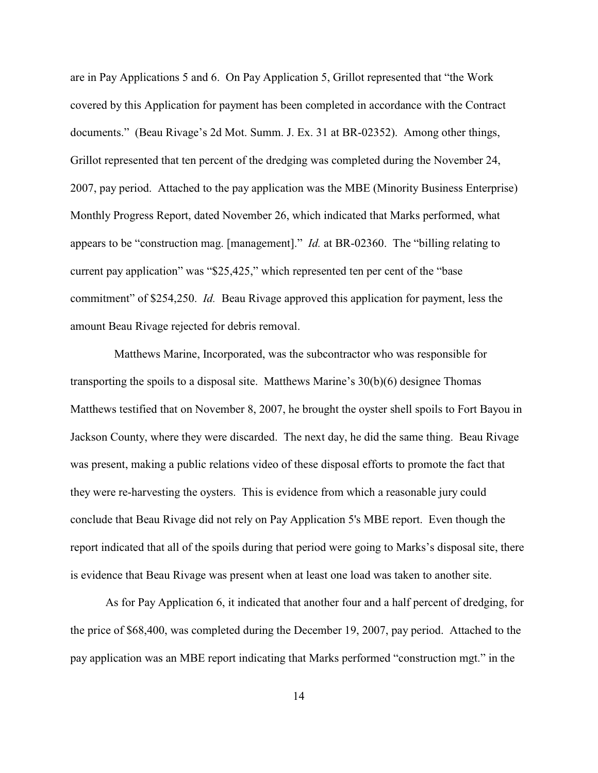are in Pay Applications 5 and 6. On Pay Application 5, Grillot represented that "the Work covered by this Application for payment has been completed in accordance with the Contract documents." (Beau Rivage's 2d Mot. Summ. J. Ex. 31 at BR-02352). Among other things, Grillot represented that ten percent of the dredging was completed during the November 24, 2007, pay period. Attached to the pay application was the MBE (Minority Business Enterprise) Monthly Progress Report, dated November 26, which indicated that Marks performed, what appears to be "construction mag. [management]." *Id.* at BR-02360. The "billing relating to current pay application" was "\$25,425," which represented ten per cent of the "base commitment" of \$254,250. *Id.* Beau Rivage approved this application for payment, less the amount Beau Rivage rejected for debris removal.

 Matthews Marine, Incorporated, was the subcontractor who was responsible for transporting the spoils to a disposal site. Matthews Marine's 30(b)(6) designee Thomas Matthews testified that on November 8, 2007, he brought the oyster shell spoils to Fort Bayou in Jackson County, where they were discarded. The next day, he did the same thing. Beau Rivage was present, making a public relations video of these disposal efforts to promote the fact that they were re-harvesting the oysters. This is evidence from which a reasonable jury could conclude that Beau Rivage did not rely on Pay Application 5's MBE report. Even though the report indicated that all of the spoils during that period were going to Marks's disposal site, there is evidence that Beau Rivage was present when at least one load was taken to another site.

As for Pay Application 6, it indicated that another four and a half percent of dredging, for the price of \$68,400, was completed during the December 19, 2007, pay period. Attached to the pay application was an MBE report indicating that Marks performed "construction mgt." in the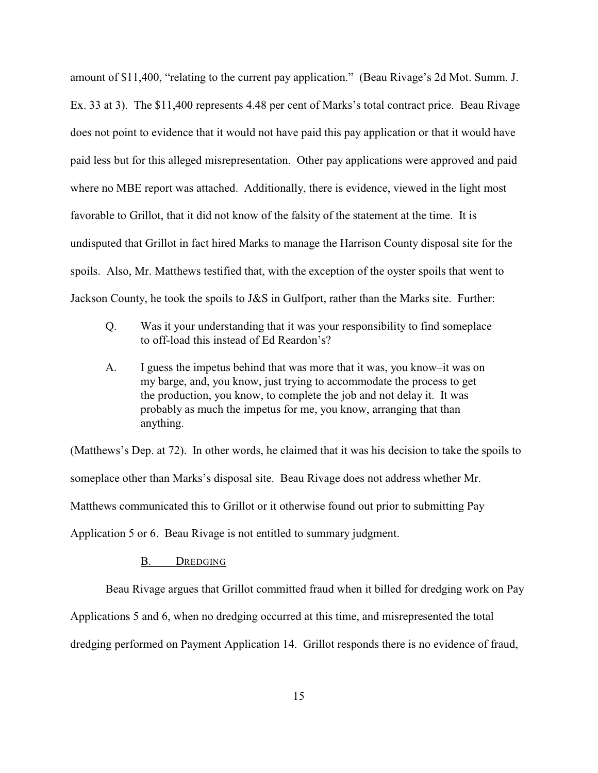amount of \$11,400, "relating to the current pay application." (Beau Rivage's 2d Mot. Summ. J. Ex. 33 at 3). The \$11,400 represents 4.48 per cent of Marks's total contract price. Beau Rivage does not point to evidence that it would not have paid this pay application or that it would have paid less but for this alleged misrepresentation. Other pay applications were approved and paid where no MBE report was attached. Additionally, there is evidence, viewed in the light most favorable to Grillot, that it did not know of the falsity of the statement at the time. It is undisputed that Grillot in fact hired Marks to manage the Harrison County disposal site for the spoils. Also, Mr. Matthews testified that, with the exception of the oyster spoils that went to Jackson County, he took the spoils to J&S in Gulfport, rather than the Marks site. Further:

- Q. Was it your understanding that it was your responsibility to find someplace to off-load this instead of Ed Reardon's?
- A. I guess the impetus behind that was more that it was, you know–it was on my barge, and, you know, just trying to accommodate the process to get the production, you know, to complete the job and not delay it. It was probably as much the impetus for me, you know, arranging that than anything.

(Matthews's Dep. at 72). In other words, he claimed that it was his decision to take the spoils to someplace other than Marks's disposal site. Beau Rivage does not address whether Mr. Matthews communicated this to Grillot or it otherwise found out prior to submitting Pay Application 5 or 6. Beau Rivage is not entitled to summary judgment.

### B. DREDGING

Beau Rivage argues that Grillot committed fraud when it billed for dredging work on Pay Applications 5 and 6, when no dredging occurred at this time, and misrepresented the total dredging performed on Payment Application 14. Grillot responds there is no evidence of fraud,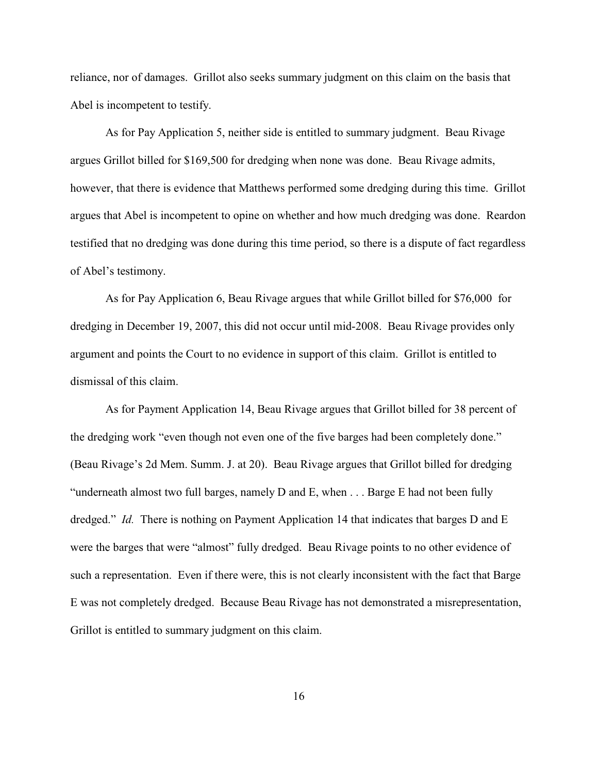reliance, nor of damages. Grillot also seeks summary judgment on this claim on the basis that Abel is incompetent to testify.

As for Pay Application 5, neither side is entitled to summary judgment. Beau Rivage argues Grillot billed for \$169,500 for dredging when none was done. Beau Rivage admits, however, that there is evidence that Matthews performed some dredging during this time. Grillot argues that Abel is incompetent to opine on whether and how much dredging was done. Reardon testified that no dredging was done during this time period, so there is a dispute of fact regardless of Abel's testimony.

As for Pay Application 6, Beau Rivage argues that while Grillot billed for \$76,000 for dredging in December 19, 2007, this did not occur until mid-2008. Beau Rivage provides only argument and points the Court to no evidence in support of this claim. Grillot is entitled to dismissal of this claim.

As for Payment Application 14, Beau Rivage argues that Grillot billed for 38 percent of the dredging work "even though not even one of the five barges had been completely done." (Beau Rivage's 2d Mem. Summ. J. at 20). Beau Rivage argues that Grillot billed for dredging "underneath almost two full barges, namely D and E, when . . . Barge E had not been fully dredged." *Id.* There is nothing on Payment Application 14 that indicates that barges D and E were the barges that were "almost" fully dredged. Beau Rivage points to no other evidence of such a representation. Even if there were, this is not clearly inconsistent with the fact that Barge E was not completely dredged. Because Beau Rivage has not demonstrated a misrepresentation, Grillot is entitled to summary judgment on this claim.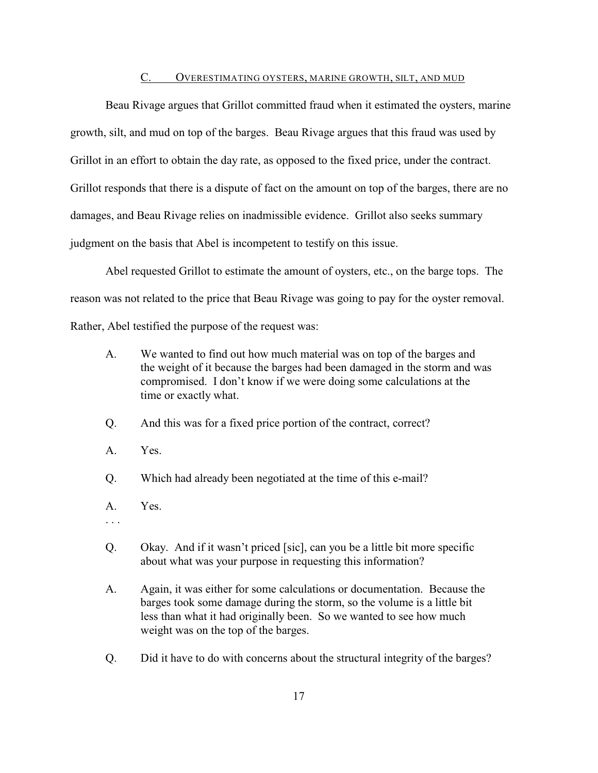### C. OVERESTIMATING OYSTERS, MARINE GROWTH, SILT, AND MUD

Beau Rivage argues that Grillot committed fraud when it estimated the oysters, marine growth, silt, and mud on top of the barges. Beau Rivage argues that this fraud was used by Grillot in an effort to obtain the day rate, as opposed to the fixed price, under the contract. Grillot responds that there is a dispute of fact on the amount on top of the barges, there are no damages, and Beau Rivage relies on inadmissible evidence. Grillot also seeks summary judgment on the basis that Abel is incompetent to testify on this issue.

Abel requested Grillot to estimate the amount of oysters, etc., on the barge tops. The reason was not related to the price that Beau Rivage was going to pay for the oyster removal. Rather, Abel testified the purpose of the request was:

- A. We wanted to find out how much material was on top of the barges and the weight of it because the barges had been damaged in the storm and was compromised. I don't know if we were doing some calculations at the time or exactly what.
- Q. And this was for a fixed price portion of the contract, correct?
- A. Yes.
- Q. Which had already been negotiated at the time of this e-mail?
- A. Yes.
- . . .
- Q. Okay. And if it wasn't priced [sic], can you be a little bit more specific about what was your purpose in requesting this information?
- A. Again, it was either for some calculations or documentation. Because the barges took some damage during the storm, so the volume is a little bit less than what it had originally been. So we wanted to see how much weight was on the top of the barges.
- Q. Did it have to do with concerns about the structural integrity of the barges?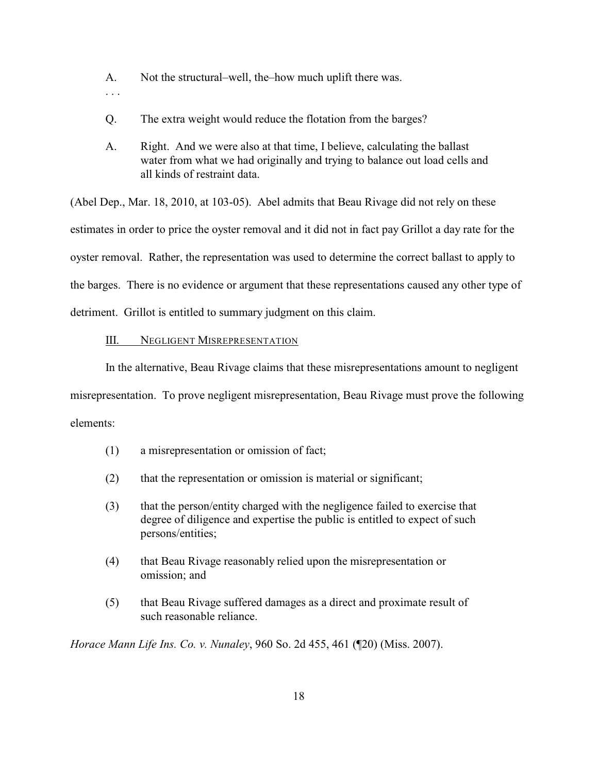- A. Not the structural–well, the–how much uplift there was.
- . . .
- Q. The extra weight would reduce the flotation from the barges?
- A. Right. And we were also at that time, I believe, calculating the ballast water from what we had originally and trying to balance out load cells and all kinds of restraint data.

(Abel Dep., Mar. 18, 2010, at 103-05). Abel admits that Beau Rivage did not rely on these estimates in order to price the oyster removal and it did not in fact pay Grillot a day rate for the oyster removal. Rather, the representation was used to determine the correct ballast to apply to the barges. There is no evidence or argument that these representations caused any other type of detriment. Grillot is entitled to summary judgment on this claim.

## III. NEGLIGENT MISREPRESENTATION

In the alternative, Beau Rivage claims that these misrepresentations amount to negligent misrepresentation. To prove negligent misrepresentation, Beau Rivage must prove the following elements:

- (1) a misrepresentation or omission of fact;
- (2) that the representation or omission is material or significant;
- (3) that the person/entity charged with the negligence failed to exercise that degree of diligence and expertise the public is entitled to expect of such persons/entities;
- (4) that Beau Rivage reasonably relied upon the misrepresentation or omission; and
- (5) that Beau Rivage suffered damages as a direct and proximate result of such reasonable reliance.

*Horace Mann Life Ins. Co. v. Nunaley*, 960 So. 2d 455, 461 (¶20) (Miss. 2007).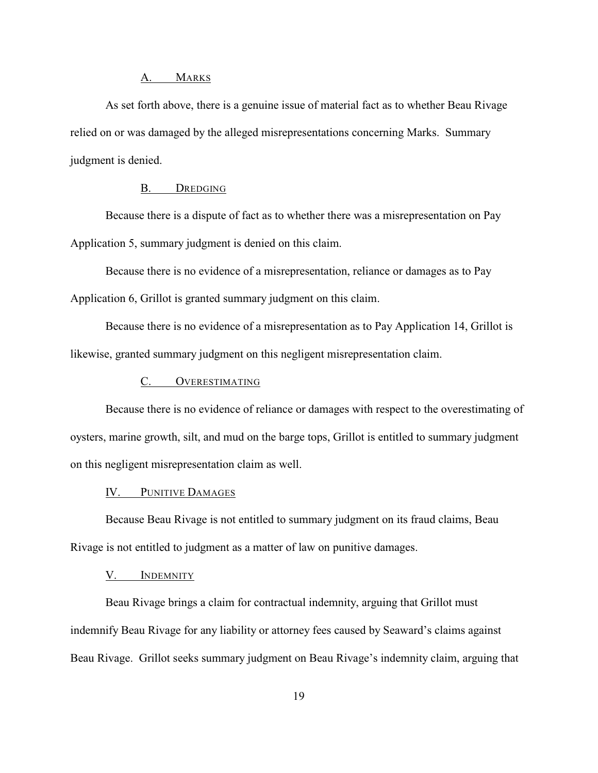### A. MARKS

As set forth above, there is a genuine issue of material fact as to whether Beau Rivage relied on or was damaged by the alleged misrepresentations concerning Marks. Summary judgment is denied.

### B. DREDGING

Because there is a dispute of fact as to whether there was a misrepresentation on Pay Application 5, summary judgment is denied on this claim.

Because there is no evidence of a misrepresentation, reliance or damages as to Pay Application 6, Grillot is granted summary judgment on this claim.

Because there is no evidence of a misrepresentation as to Pay Application 14, Grillot is likewise, granted summary judgment on this negligent misrepresentation claim.

# C. OVERESTIMATING

Because there is no evidence of reliance or damages with respect to the overestimating of oysters, marine growth, silt, and mud on the barge tops, Grillot is entitled to summary judgment on this negligent misrepresentation claim as well.

## IV. PUNITIVE DAMAGES

Because Beau Rivage is not entitled to summary judgment on its fraud claims, Beau Rivage is not entitled to judgment as a matter of law on punitive damages.

## V. INDEMNITY

Beau Rivage brings a claim for contractual indemnity, arguing that Grillot must indemnify Beau Rivage for any liability or attorney fees caused by Seaward's claims against Beau Rivage. Grillot seeks summary judgment on Beau Rivage's indemnity claim, arguing that